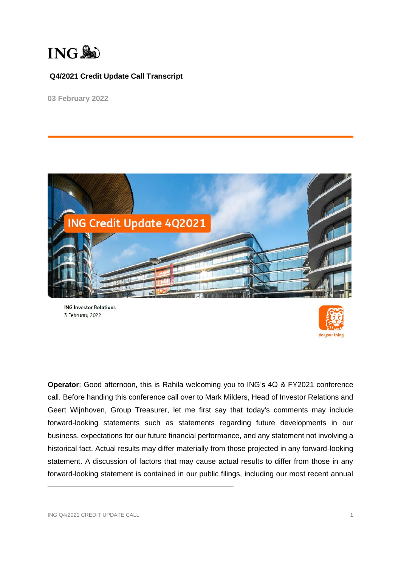

**03 February 2022**



**ING Investor Relations** 3 February 2022



**Operator**: Good afternoon, this is Rahila welcoming you to ING's 4Q & FY2021 conference call. Before handing this conference call over to Mark Milders, Head of Investor Relations and Geert Wijnhoven, Group Treasurer, let me first say that today's comments may include forward-looking statements such as statements regarding future developments in our business, expectations for our future financial performance, and any statement not involving a historical fact. Actual results may differ materially from those projected in any forward-looking statement. A discussion of factors that may cause actual results to differ from those in any forward-looking statement is contained in our public filings, including our most recent annual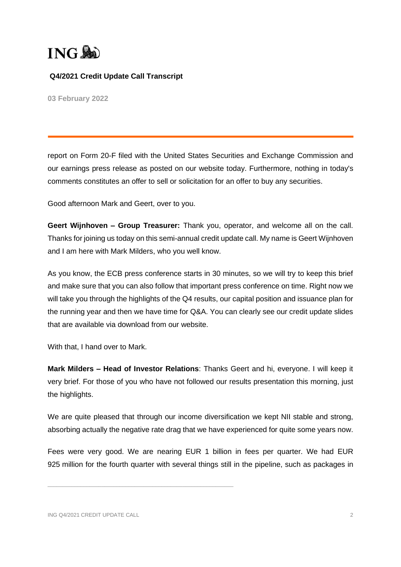

**03 February 2022**

report on Form 20-F filed with the United States Securities and Exchange Commission and our earnings press release as posted on our website today. Furthermore, nothing in today's comments constitutes an offer to sell or solicitation for an offer to buy any securities.

Good afternoon Mark and Geert, over to you.

**Geert Wijnhoven – Group Treasurer:** Thank you, operator, and welcome all on the call. Thanks for joining us today on this semi-annual credit update call. My name is Geert Wijnhoven and I am here with Mark Milders, who you well know.

As you know, the ECB press conference starts in 30 minutes, so we will try to keep this brief and make sure that you can also follow that important press conference on time. Right now we will take you through the highlights of the Q4 results, our capital position and issuance plan for the running year and then we have time for Q&A. You can clearly see our credit update slides that are available via download from our website.

With that, I hand over to Mark.

**Mark Milders – Head of Investor Relations**: Thanks Geert and hi, everyone. I will keep it very brief. For those of you who have not followed our results presentation this morning, just the highlights.

We are quite pleased that through our income diversification we kept NII stable and strong, absorbing actually the negative rate drag that we have experienced for quite some years now.

Fees were very good. We are nearing EUR 1 billion in fees per quarter. We had EUR 925 million for the fourth quarter with several things still in the pipeline, such as packages in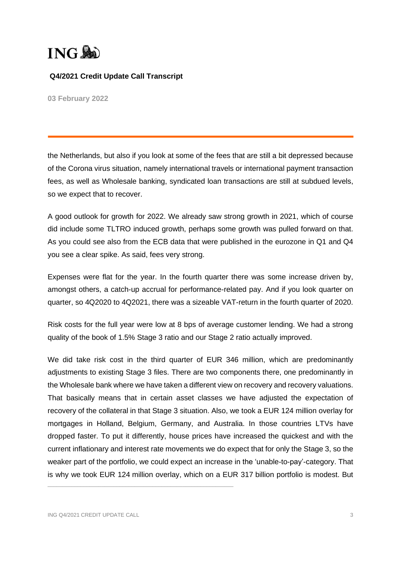

**03 February 2022**

the Netherlands, but also if you look at some of the fees that are still a bit depressed because of the Corona virus situation, namely international travels or international payment transaction fees, as well as Wholesale banking, syndicated loan transactions are still at subdued levels, so we expect that to recover.

A good outlook for growth for 2022. We already saw strong growth in 2021, which of course did include some TLTRO induced growth, perhaps some growth was pulled forward on that. As you could see also from the ECB data that were published in the eurozone in Q1 and Q4 you see a clear spike. As said, fees very strong.

Expenses were flat for the year. In the fourth quarter there was some increase driven by, amongst others, a catch-up accrual for performance-related pay. And if you look quarter on quarter, so 4Q2020 to 4Q2021, there was a sizeable VAT-return in the fourth quarter of 2020.

Risk costs for the full year were low at 8 bps of average customer lending. We had a strong quality of the book of 1.5% Stage 3 ratio and our Stage 2 ratio actually improved.

We did take risk cost in the third quarter of EUR 346 million, which are predominantly adjustments to existing Stage 3 files. There are two components there, one predominantly in the Wholesale bank where we have taken a different view on recovery and recovery valuations. That basically means that in certain asset classes we have adjusted the expectation of recovery of the collateral in that Stage 3 situation. Also, we took a EUR 124 million overlay for mortgages in Holland, Belgium, Germany, and Australia. In those countries LTVs have dropped faster. To put it differently, house prices have increased the quickest and with the current inflationary and interest rate movements we do expect that for only the Stage 3, so the weaker part of the portfolio, we could expect an increase in the 'unable-to-pay'-category. That is why we took EUR 124 million overlay, which on a EUR 317 billion portfolio is modest. But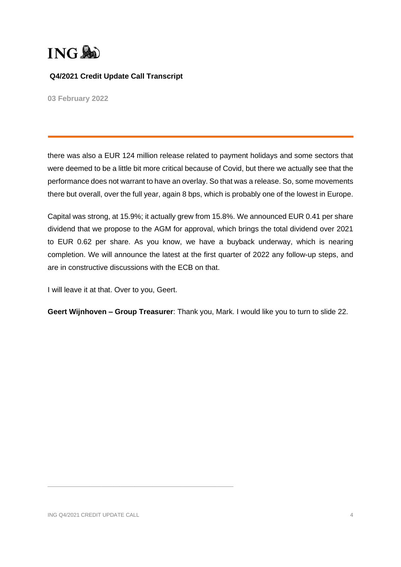

**03 February 2022**

there was also a EUR 124 million release related to payment holidays and some sectors that were deemed to be a little bit more critical because of Covid, but there we actually see that the performance does not warrant to have an overlay. So that was a release. So, some movements there but overall, over the full year, again 8 bps, which is probably one of the lowest in Europe.

Capital was strong, at 15.9%; it actually grew from 15.8%. We announced EUR 0.41 per share dividend that we propose to the AGM for approval, which brings the total dividend over 2021 to EUR 0.62 per share. As you know, we have a buyback underway, which is nearing completion. We will announce the latest at the first quarter of 2022 any follow-up steps, and are in constructive discussions with the ECB on that.

I will leave it at that. Over to you, Geert.

**Geert Wijnhoven – Group Treasurer**: Thank you, Mark. I would like you to turn to slide 22.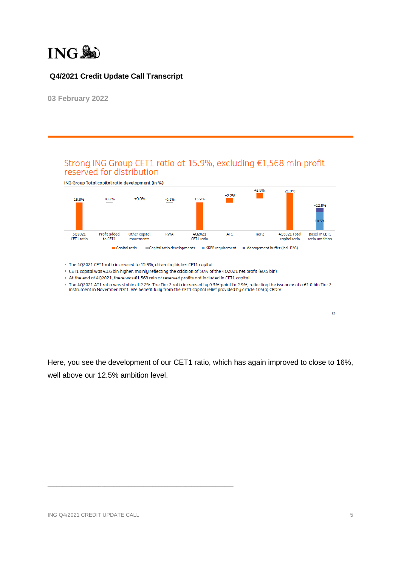

**03 February 2022**

# Strong ING Group CET1 ratio at 15.9%, excluding €1,568 mln profit reserved for distribution

ING Group Total capital ratio development (in %)



. The 4Q2021 CET1 ratio increased to 15.9%, driven by higher CET1 capital

 $\mathcal{L}_\text{max}$  and the set of the set of the set of the set of the set of the set of the set of the set of the set of

. CET1 capital was €0.6 bln higher, mainly reflecting the addition of 50% of the 4Q2021 net profit (€0.5 bln)

■ At the end of 4Q2021, there was €1,568 mln of reserved profits not included in CET1 capital

■ The 4Q2021 AT1 ratio was stable at 2.2%. The Tier 2 ratio increased by 0.3%-point to 2.9%, reflecting the issuance of a €1.0 bln Tier 2 instrument in November 2021. We benefit fully from the CET1 capital relief provided

Here, you see the development of our CET1 ratio, which has again improved to close to 16%, well above our 12.5% ambition level.

 $\overline{22}$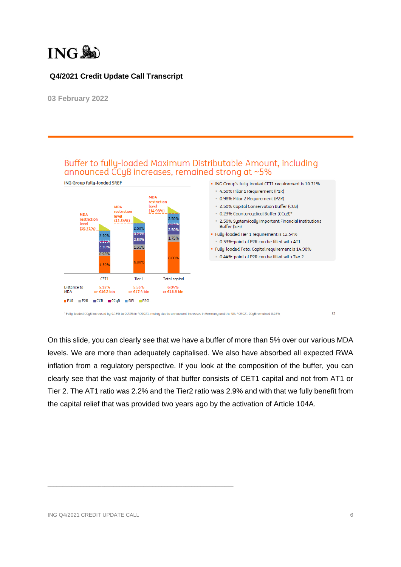

**03 February 2022**



On this slide, you can clearly see that we have a buffer of more than 5% over our various MDA levels. We are more than adequately capitalised. We also have absorbed all expected RWA inflation from a regulatory perspective. If you look at the composition of the buffer, you can clearly see that the vast majority of that buffer consists of CET1 capital and not from AT1 or Tier 2. The AT1 ratio was 2.2% and the Tier2 ratio was 2.9% and with that we fully benefit from the capital relief that was provided two years ago by the activation of Article 104A.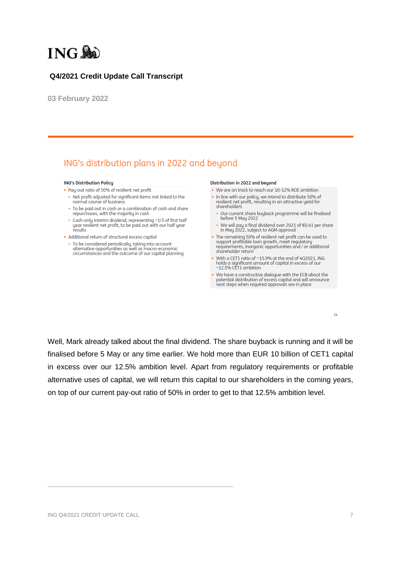

**03 February 2022**

# ING's distribution plans in 2022 and beyond

#### **ING's Distribution Policy**

- . Pay-out ratio of 50% of resilient net profit
	- Net profit adjusted for significant items not linked to the normal course of business
	- . To be paid out in cash or a combination of cash and share repurchases, with the majority in cash
	- Cash-only interim dividend, representing ~1/3 of first half<br>year resilient net profit, to be paid out with our half year results
- Additional return of structural excess capital
- · To be considered periodically, taking into account alternative opportunities as well as macro-economic<br>circumstances and the outcome of our capital planning

#### Distribution in 2022 and beyond

- . We are on track to reach our 10-12% ROF ambition
- . In line with our policy, we intend to distribute 50% of resilient net profit, resulting in an attractive yield for<br>shareholders
	- Our current share buyback programme will be finalised before 5 May 2022
	- We will pay a final dividend over 2021 of €0.41 per share<br>in May 2022, subject to AGM approval
- . The remaining 50% of resilient net profit can be used to support profitable loan growth, meet regulatory<br>requirements, inorganic opportunities and / or additional shareholder return
- With a CET1 ratio of ~15.9% at the end of 4Q2021, ING<br>holds a significant amount of capital in excess of our  $~12.5\%$  CET1 ambition
- We have a constructive dialogue with the ECB about the potential distribution of excess capital and will announce next steps when required approvals are in place

Well, Mark already talked about the final dividend. The share buyback is running and it will be finalised before 5 May or any time earlier. We hold more than EUR 10 billion of CET1 capital in excess over our 12.5% ambition level. Apart from regulatory requirements or profitable alternative uses of capital, we will return this capital to our shareholders in the coming years, on top of our current pay-out ratio of 50% in order to get to that 12.5% ambition level.

 $\mathcal{L}_\text{max}$  and the set of the set of the set of the set of the set of the set of the set of the set of the set of

 $24$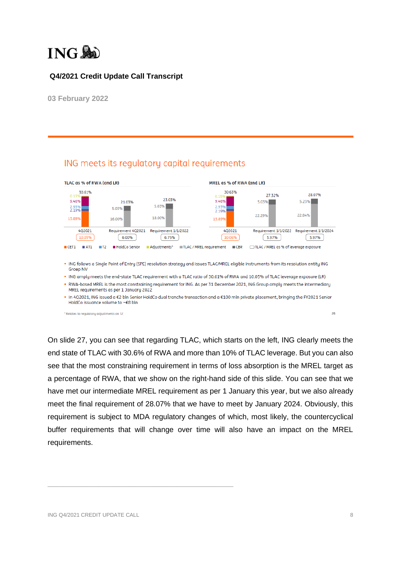

ING meets its regulatory capital requirements

**03 February 2022**



. In 4Q2021, ING issued a €2 bln Senior HoldCo dual tranche transaction and a €100 mln private placement, bringing the FY2021 Senior HoldCo issuance volume to ~€8 bln

\* Relates to regulatory adjustments on T2

On slide 27, you can see that regarding TLAC, which starts on the left, ING clearly meets the end state of TLAC with 30.6% of RWA and more than 10% of TLAC leverage. But you can also see that the most constraining requirement in terms of loss absorption is the MREL target as a percentage of RWA, that we show on the right-hand side of this slide. You can see that we have met our intermediate MREL requirement as per 1 January this year, but we also already meet the final requirement of 28.07% that we have to meet by January 2024. Obviously, this requirement is subject to MDA regulatory changes of which, most likely, the countercyclical buffer requirements that will change over time will also have an impact on the MREL requirements.

 $\mathcal{L}_\text{max}$  and the set of the set of the set of the set of the set of the set of the set of the set of the set of

 $\overline{\phantom{a}}$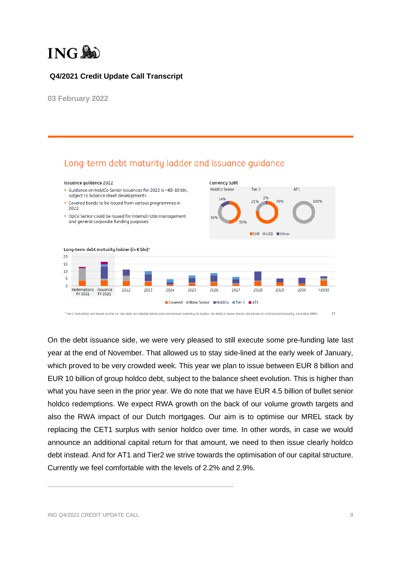

**03 February 2022**



On the debt issuance side, we were very pleased to still execute some pre-funding late last year at the end of November. That allowed us to stay side-lined at the early week of January, which proved to be very crowded week. This year we plan to issue between EUR 8 billion and EUR 10 billion of group holdco debt, subject to the balance sheet evolution. This is higher than what you have seen in the prior year. We do note that we have EUR 4.5 billion of bullet senior holdco redemptions. We expect RWA growth on the back of our volume growth targets and also the RWA impact of our Dutch mortgages. Our aim is to optimise our MREL stack by replacing the CET1 surplus with senior holdco over time. In other words, in case we would announce an additional capital return for that amount, we need to then issue clearly holdco debt instead. And for AT1 and Tier2 we strive towards the optimisation of our capital structure. Currently we feel comfortable with the levels of 2.2% and 2.9%.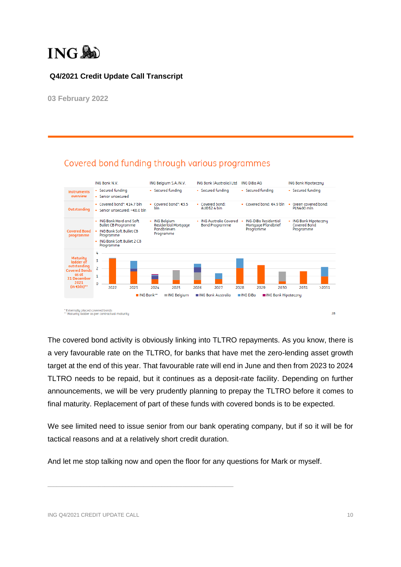

**03 February 2022**



# Covered bond funding through various programmes

The covered bond activity is obviously linking into TLTRO repayments. As you know, there is a very favourable rate on the TLTRO, for banks that have met the zero-lending asset growth target at the end of this year. That favourable rate will end in June and then from 2023 to 2024 TLTRO needs to be repaid, but it continues as a deposit-rate facility. Depending on further announcements, we will be very prudently planning to prepay the TLTRO before it comes to final maturity. Replacement of part of these funds with covered bonds is to be expected.

We see limited need to issue senior from our bank operating company, but if so it will be for tactical reasons and at a relatively short credit duration.

And let me stop talking now and open the floor for any questions for Mark or myself.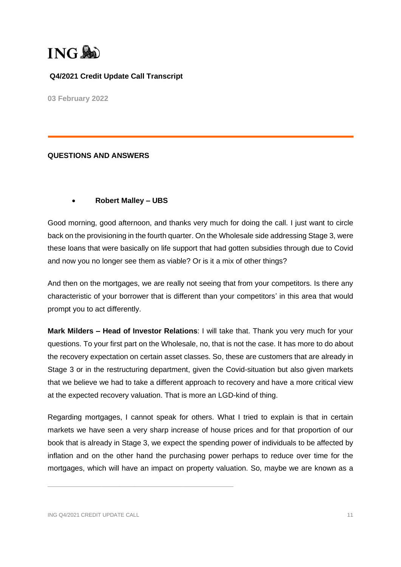

**03 February 2022**

#### **QUESTIONS AND ANSWERS**

#### • **Robert Malley – UBS**

Good morning, good afternoon, and thanks very much for doing the call. I just want to circle back on the provisioning in the fourth quarter. On the Wholesale side addressing Stage 3, were these loans that were basically on life support that had gotten subsidies through due to Covid and now you no longer see them as viable? Or is it a mix of other things?

And then on the mortgages, we are really not seeing that from your competitors. Is there any characteristic of your borrower that is different than your competitors' in this area that would prompt you to act differently.

**Mark Milders – Head of Investor Relations**: I will take that. Thank you very much for your questions. To your first part on the Wholesale, no, that is not the case. It has more to do about the recovery expectation on certain asset classes. So, these are customers that are already in Stage 3 or in the restructuring department, given the Covid-situation but also given markets that we believe we had to take a different approach to recovery and have a more critical view at the expected recovery valuation. That is more an LGD-kind of thing.

Regarding mortgages, I cannot speak for others. What I tried to explain is that in certain markets we have seen a very sharp increase of house prices and for that proportion of our book that is already in Stage 3, we expect the spending power of individuals to be affected by inflation and on the other hand the purchasing power perhaps to reduce over time for the mortgages, which will have an impact on property valuation. So, maybe we are known as a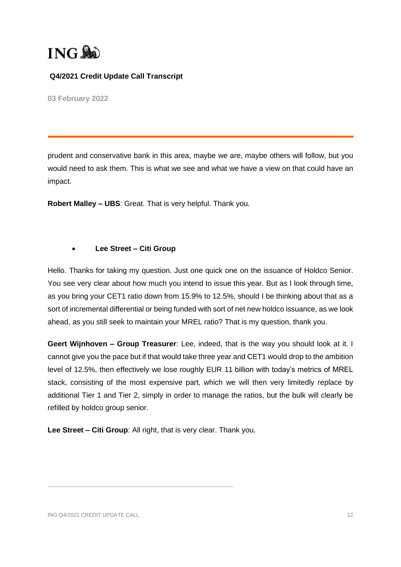

**03 February 2022**

prudent and conservative bank in this area, maybe we are, maybe others will follow, but you would need to ask them. This is what we see and what we have a view on that could have an impact.

**Robert Malley – UBS**: Great. That is very helpful. Thank you.

#### • **Lee Street – Citi Group**

Hello. Thanks for taking my question. Just one quick one on the issuance of Holdco Senior. You see very clear about how much you intend to issue this year. But as I look through time, as you bring your CET1 ratio down from 15.9% to 12.5%, should I be thinking about that as a sort of incremental differential or being funded with sort of net new holdco issuance, as we look ahead, as you still seek to maintain your MREL ratio? That is my question, thank you.

**Geert Wijnhoven – Group Treasurer**: Lee, indeed, that is the way you should look at it. I cannot give you the pace but if that would take three year and CET1 would drop to the ambition level of 12.5%, then effectively we lose roughly EUR 11 billion with today's metrics of MREL stack, consisting of the most expensive part, which we will then very limitedly replace by additional Tier 1 and Tier 2, simply in order to manage the ratios, but the bulk will clearly be refilled by holdco group senior.

**Lee Street – Citi Group**: All right, that is very clear. Thank you.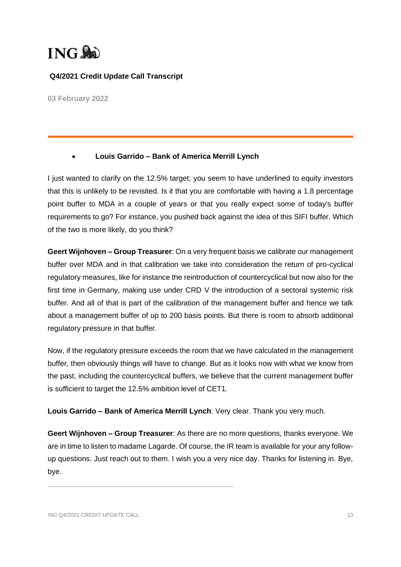

**03 February 2022**

#### • **Louis Garrido – Bank of America Merrill Lynch**

I just wanted to clarify on the 12.5% target; you seem to have underlined to equity investors that this is unlikely to be revisited. Is it that you are comfortable with having a 1.8 percentage point buffer to MDA in a couple of years or that you really expect some of today's buffer requirements to go? For instance, you pushed back against the idea of this SIFI buffer. Which of the two is more likely, do you think?

**Geert Wijnhoven – Group Treasurer**: On a very frequent basis we calibrate our management buffer over MDA and in that calibration we take into consideration the return of pro-cyclical regulatory measures, like for instance the reintroduction of countercyclical but now also for the first time in Germany, making use under CRD V the introduction of a sectoral systemic risk buffer. And all of that is part of the calibration of the management buffer and hence we talk about a management buffer of up to 200 basis points. But there is room to absorb additional regulatory pressure in that buffer.

Now, if the regulatory pressure exceeds the room that we have calculated in the management buffer, then obviously things will have to change. But as it looks now with what we know from the past, including the countercyclical buffers, we believe that the current management buffer is sufficient to target the 12.5% ambition level of CET1.

**Louis Garrido – Bank of America Merrill Lynch**: Very clear. Thank you very much.

**Geert Wijnhoven – Group Treasurer**: As there are no more questions, thanks everyone. We are in time to listen to madame Lagarde. Of course, the IR team is available for your any followup questions. Just reach out to them. I wish you a very nice day. Thanks for listening in. Bye, bye.